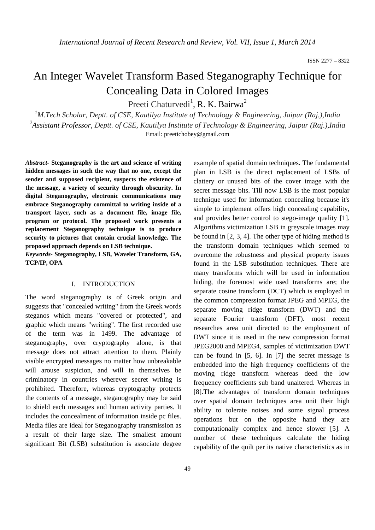# An Integer Wavelet Transform Based Steganography Technique for Concealing Data in Colored Images

Preeti Chaturvedi<sup>1</sup>, R. K. Bairwa<sup>2</sup>

<sup>1</sup>M.Tech Scholar, Deptt. of CSE, Kautilya Institute of Technology & Engineering, Jaipur (Raj.),India *2 Assistant Professor, Deptt. of CSE, Kautilya Institute of Technology & Engineering, Jaipur (Raj.),India*  Email: preetichobey@gmail.com

*Abstract-* **Steganography is the art and science of writing hidden messages in such the way that no one, except the sender and supposed recipient, suspects the existence of the message, a variety of security through obscurity. In digital Steganography, electronic communications may embrace Steganography committal to writing inside of a transport layer, such as a document file, image file, program or protocol. The proposed work presents a replacement Steganography technique is to produce security to pictures that contain crucial knowledge. The proposed approach depends on LSB technique.** 

*Keywords-* **Steganography, LSB, Wavelet Transform, GA, TCP/IP, OPA** 

#### I. INTRODUCTION

The word steganography is of Greek origin and suggests that "concealed writing" from the Greek words steganos which means "covered or protected", and graphic which means "writing". The first recorded use of the term was in 1499. The advantage of steganography, over cryptography alone, is that message does not attract attention to them. Plainly visible encrypted messages no matter how unbreakable will arouse suspicion, and will in themselves be criminatory in countries wherever secret writing is prohibited. Therefore, whereas cryptography protects the contents of a message, steganography may be said to shield each messages and human activity parties. It includes the concealment of information inside pc files. Media files are ideal for Steganography transmission as a result of their large size. The smallest amount significant Bit (LSB) substitution is associate degree

example of spatial domain techniques. The fundamental plan in LSB is the direct replacement of LSBs of clattery or unused bits of the cover image with the secret message bits. Till now LSB is the most popular technique used for information concealing because it's simple to implement offers high concealing capability, and provides better control to stego-image quality [1]. Algorithms victimization LSB in greyscale images may be found in [2, 3, 4]. The other type of hiding method is the transform domain techniques which seemed to overcome the robustness and physical property issues found in the LSB substitution techniques. There are many transforms which will be used in information hiding, the foremost wide used transforms are; the separate cosine transform (DCT) which is employed in the common compression format JPEG and MPEG, the separate moving ridge transform (DWT) and the separate Fourier transform (DFT). most recent researches area unit directed to the employment of DWT since it is used in the new compression format JPEG2000 and MPEG4, samples of victimization DWT can be found in [5, 6]. In [7] the secret message is embedded into the high frequency coefficients of the moving ridge transform whereas deed the low frequency coefficients sub band unaltered. Whereas in [8].The advantages of transform domain techniques over spatial domain techniques area unit their high ability to tolerate noises and some signal process operations but on the opposite hand they are computationally complex and hence slower [5]. A number of these techniques calculate the hiding capability of the quilt per its native characteristics as in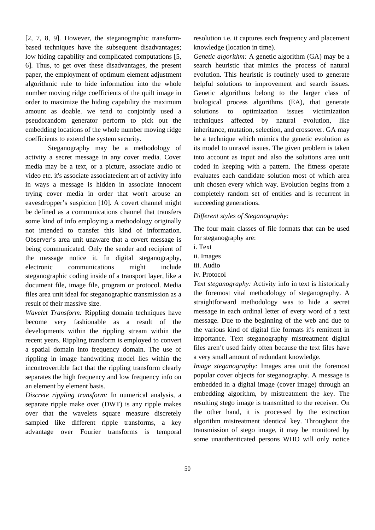[2, 7, 8, 9]. However, the steganographic transformbased techniques have the subsequent disadvantages; low hiding capability and complicated computations [5, 6]. Thus, to get over these disadvantages, the present paper, the employment of optimum element adjustment algorithmic rule to hide information into the whole number moving ridge coefficients of the quilt image in order to maximize the hiding capability the maximum amount as doable. we tend to conjointly used a pseudorandom generator perform to pick out the embedding locations of the whole number moving ridge coefficients to extend the system security.

 Steganography may be a methodology of activity a secret message in any cover media. Cover media may be a text, or a picture, associate audio or video etc. it's associate associatecient art of activity info in ways a message is hidden in associate innocent trying cover media in order that won't arouse an eavesdropper's suspicion [10]. A covert channel might be defined as a communications channel that transfers some kind of info employing a methodology originally not intended to transfer this kind of information. Observer's area unit unaware that a covert message is being communicated. Only the sender and recipient of the message notice it. In digital steganography, electronic communications might include steganographic coding inside of a transport layer, like a document file, image file, program or protocol. Media files area unit ideal for steganographic transmission as a result of their massive size.

*Wavelet Transform:* Rippling domain techniques have become very fashionable as a result of the developments within the rippling stream within the recent years. Rippling transform is employed to convert a spatial domain into frequency domain. The use of rippling in image handwriting model lies within the incontrovertible fact that the rippling transform clearly separates the high frequency and low frequency info on an element by element basis.

*Discrete rippling transform:* In numerical analysis, a separate ripple make over (DWT) is any ripple makes over that the wavelets square measure discretely sampled like different ripple transforms, a key advantage over Fourier transforms is temporal resolution i.e. it captures each frequency and placement knowledge (location in time).

*Genetic algorithm:* A genetic algorithm (GA) may be a search heuristic that mimics the process of natural evolution. This heuristic is routinely used to generate helpful solutions to improvement and search issues. Genetic algorithms belong to the larger class of biological process algorithms (EA), that generate solutions to optimization issues victimization techniques affected by natural evolution, like inheritance, mutation, selection, and crossover. GA may be a technique which mimics the genetic evolution as its model to unravel issues. The given problem is taken into account as input and also the solutions area unit coded in keeping with a pattern. The fitness operate evaluates each candidate solution most of which area unit chosen every which way. Evolution begins from a completely random set of entities and is recurrent in succeeding generations.

### *Different styles of Steganography:*

The four main classes of file formats that can be used for steganography are:

- i. Text
- ii. Images
- iii. Audio
- iv. Protocol

*Text steganography:* Activity info in text is historically the foremost vital methodology of steganography. A straightforward methodology was to hide a secret message in each ordinal letter of every word of a text message. Due to the beginning of the web and due to the various kind of digital file formats it's remittent in importance. Text steganography mistreatment digital files aren't used fairly often because the text files have a very small amount of redundant knowledge.

*Image steganography:* Images area unit the foremost popular cover objects for steganography. A message is embedded in a digital image (cover image) through an embedding algorithm, by mistreatment the key. The resulting stego image is transmitted to the receiver. On the other hand, it is processed by the extraction algorithm mistreatment identical key. Throughout the transmission of stego image, it may be monitored by some unauthenticated persons WHO will only notice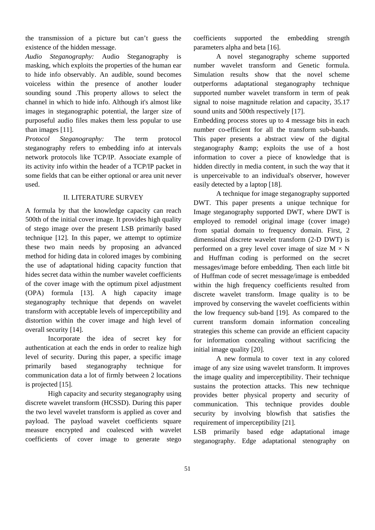the transmission of a picture but can't guess the existence of the hidden message.

*Audio Steganography:* Audio Steganography is masking, which exploits the properties of the human ear to hide info observably. An audible, sound becomes voiceless within the presence of another louder sounding sound .This property allows to select the channel in which to hide info. Although it's almost like images in steganographic potential, the larger size of purposeful audio files makes them less popular to use than images [11].

*Protocol Steganography:* The term protocol steganography refers to embedding info at intervals network protocols like TCP/IP. Associate example of its activity info within the header of a TCP/IP packet in some fields that can be either optional or area unit never used.

## II. LITERATURE SURVEY

A formula by that the knowledge capacity can reach 500th of the initial cover image. It provides high quality of stego image over the present LSB primarily based technique [12]. In this paper, we attempt to optimize these two main needs by proposing an advanced method for hiding data in colored images by combining the use of adaptational hiding capacity function that hides secret data within the number wavelet coefficients of the cover image with the optimum pixel adjustment (OPA) formula [13]. A high capacity image steganography technique that depends on wavelet transform with acceptable levels of imperceptibility and distortion within the cover image and high level of overall security [14].

 Incorporate the idea of secret key for authentication at each the ends in order to realize high level of security. During this paper, a specific image primarily based steganography technique for communication data a lot of firmly between 2 locations is projected [15].

 High capacity and security steganography using discrete wavelet transform (HCSSD). During this paper the two level wavelet transform is applied as cover and payload. The payload wavelet coefficients square measure encrypted and coalesced with wavelet coefficients of cover image to generate stego coefficients supported the embedding strength parameters alpha and beta [16].

 A novel steganography scheme supported number wavelet transform and Genetic formula. Simulation results show that the novel scheme outperforms adaptational steganography technique supported number wavelet transform in term of peak signal to noise magnitude relation and capacity, 35.17 sound units and 500th respectively [17].

Embedding process stores up to 4 message bits in each number co-efficient for all the transform sub-bands. This paper presents a abstract view of the digital steganography & amp; exploits the use of a host information to cover a piece of knowledge that is hidden directly in media content, in such the way that it is unperceivable to an individual's observer, however easily detected by a laptop [18].

 A technique for image steganography supported DWT. This paper presents a unique technique for Image steganography supported DWT, where DWT is employed to remodel original image (cover image) from spatial domain to frequency domain. First, 2 dimensional discrete wavelet transform (2-D DWT) is performed on a grey level cover image of size  $M \times N$ and Huffman coding is performed on the secret messages/image before embedding. Then each little bit of Huffman code of secret message/image is embedded within the high frequency coefficients resulted from discrete wavelet transform. Image quality is to be improved by conserving the wavelet coefficients within the low frequency sub-band [19]. As compared to the current transform domain information concealing strategies this scheme can provide an efficient capacity for information concealing without sacrificing the initial image quality [20].

 A new formula to cover text in any colored image of any size using wavelet transform. It improves the image quality and imperceptibility. Their technique sustains the protection attacks. This new technique provides better physical property and security of communication. This technique provides double security by involving blowfish that satisfies the requirement of imperceptibility [21].

LSB primarily based edge adaptational image steganography. Edge adaptational stenography on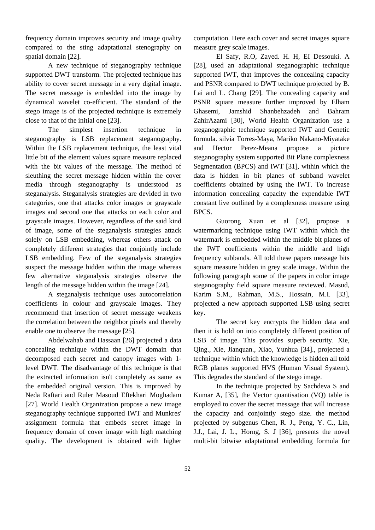frequency domain improves security and image quality compared to the sting adaptational stenography on spatial domain [22].

 A new technique of steganography technique supported DWT transform. The projected technique has ability to cover secret message in a very digital image. The secret message is embedded into the image by dynamical wavelet co-efficient. The standard of the stego image is of the projected technique is extremely close to that of the initial one [23].

 The simplest insertion technique in steganography is LSB replacement steganography. Within the LSB replacement technique, the least vital little bit of the element values square measure replaced with the bit values of the message. The method of sleuthing the secret message hidden within the cover media through steganography is understood as steganalysis. Steganalysis strategies are devided in two categories, one that attacks color images or grayscale images and second one that attacks on each color and grayscale images. However, regardless of the said kind of image, some of the steganalysis strategies attack solely on LSB embedding, whereas others attack on completely different strategies that conjointly include LSB embedding. Few of the steganalysis strategies suspect the message hidden within the image whereas few alternative steganalysis strategies observe the length of the message hidden within the image [24].

 A steganalysis technique uses autocorrelation coefficients in colour and grayscale images. They recommend that insertion of secret message weakens the correlation between the neighbor pixels and thereby enable one to observe the message [25].

 Abdelwahab and Hassaan [26] projected a data concealing technique within the DWT domain that decomposed each secret and canopy images with 1 level DWT. The disadvantage of this technique is that the extracted information isn't completely as same as the embedded original version. This is improved by Neda Raftari and Ruler Masoud Eftekhari Moghadam [27]. World Health Organization propose a new image steganography technique supported IWT and Munkres' assignment formula that embeds secret image in frequency domain of cover image with high matching quality. The development is obtained with higher computation. Here each cover and secret images square measure grey scale images.

 El Safy, R.O, Zayed. H. H, EI Dessouki. A [28], used an adaptational steganographic technique supported IWT, that improves the concealing capacity and PSNR compared to DWT technique projected by B. Lai and L. Chang [29]. The concealing capacity and PSNR square measure further improved by Elham Ghasemi, Jamshid Shanbehzadeh and Bahram ZahirAzami [30], World Health Organization use a steganographic technique supported IWT and Genetic formula. silvia Torres-Maya, Mariko Nakano-Miyatake and Hector Perez-Meana propose a picture steganography system supported Bit Plane complexness Segmentation (BPCS) and IWT [31], within which the data is hidden in bit planes of subband wavelet coefficients obtained by using the IWT. To increase information concealing capacity the expendable IWT constant live outlined by a complexness measure using BPCS.

 Guorong Xuan et al [32], propose a watermarking technique using IWT within which the watermark is embedded within the middle bit planes of the IWT coefficients within the middle and high frequency subbands. All told these papers message bits square measure hidden in grey scale image. Within the following paragraph some of the papers in color image steganography field square measure reviewed. Masud, Karim S.M., Rahman, M.S., Hossain, M.I. [33], projected a new approach supported LSB using secret key.

 The secret key encrypts the hidden data and then it is hold on into completely different position of LSB of image. This provides superb security. Xie, Qing., Xie, Jianquan., Xiao, Yunhua [34]., projected a technique within which the knowledge is hidden all told RGB planes supported HVS (Human Visual System). This degrades the standard of the stego image.

 In the technique projected by Sachdeva S and Kumar A, [35], the Vector quantisation (VQ) table is employed to cover the secret message that will increase the capacity and conjointly stego size. the method projected by subgenus Chen, R. J., Peng, Y. C., Lin, J.J., Lai, J. L., Horng, S. J [36], presents the novel multi-bit bitwise adaptational embedding formula for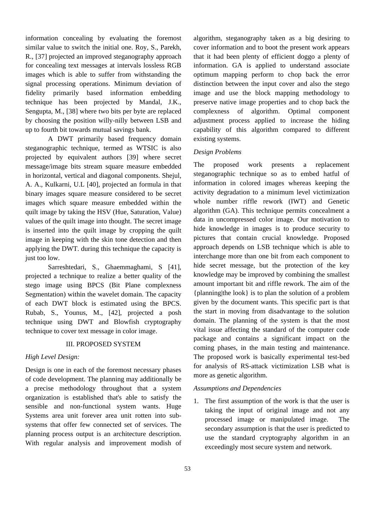information concealing by evaluating the foremost similar value to switch the initial one. Roy, S., Parekh, R., [37] projected an improved steganography approach for concealing text messages at intervals lossless RGB images which is able to suffer from withstanding the signal processing operations. Minimum deviation of fidelity primarily based information embedding technique has been projected by Mandal, J.K., Sengupta, M., [38] where two bits per byte are replaced by choosing the position willy-nilly between LSB and up to fourth bit towards mutual savings bank.

 A DWT primarily based frequency domain steganographic technique, termed as WTSIC is also projected by equivalent authors [39] where secret message/image bits stream square measure embedded in horizontal, vertical and diagonal components. Shejul, A. A., Kulkarni, U.L [40], projected an formula in that binary images square measure considered to be secret images which square measure embedded within the quilt image by taking the HSV (Hue, Saturation, Value) values of the quilt image into thought. The secret image is inserted into the quilt image by cropping the quilt image in keeping with the skin tone detection and then applying the DWT. during this technique the capacity is just too low.

 Sarreshtedari, S., Ghaemmaghami, S [41], projected a technique to realize a better quality of the stego image using BPCS (Bit Plane complexness Segmentation) within the wavelet domain. The capacity of each DWT block is estimated using the BPCS. Rubab, S., Younus, M., [42], projected a posh technique using DWT and Blowfish cryptography technique to cover text message in color image.

#### III. PROPOSED SYSTEM

### *High Level Design:*

Design is one in each of the foremost necessary phases of code development. The planning may additionally be a precise methodology throughout that a system organization is established that's able to satisfy the sensible and non-functional system wants. Huge Systems area unit forever area unit rotten into subsystems that offer few connected set of services. The planning process output is an architecture description. With regular analysis and improvement modish of

algorithm, steganography taken as a big desiring to cover information and to boot the present work appears that it had been plenty of efficient doggo a plenty of information. GA is applied to understand associate optimum mapping perform to chop back the error distinction between the input cover and also the stego image and use the block mapping methodology to preserve native image properties and to chop back the complexness of algorithm. Optimal component adjustment process applied to increase the hiding capability of this algorithm compared to different existing systems.

#### *Design Problems*

The proposed work presents a replacement steganographic technique so as to embed hatful of information in colored images whereas keeping the activity degradation to a minimum level victimization whole number riffle rework (IWT) and Genetic algorithm (GA). This technique permits concealment a data in uncompressed color image. Our motivation to hide knowledge in images is to produce security to pictures that contain crucial knowledge. Proposed approach depends on LSB technique which is able to interchange more than one bit from each component to hide secret message, but the protection of the key knowledge may be improved by combining the smallest amount important bit and riffle rework. The aim of the {planning|the look} is to plan the solution of a problem given by the document wants. This specific part is that the start in moving from disadvantage to the solution domain. The planning of the system is that the most vital issue affecting the standard of the computer code package and contains a significant impact on the coming phases, in the main testing and maintenance. The proposed work is basically experimental test-bed for analysis of RS-attack victimization LSB what is more as genetic algorithm.

#### *Assumptions and Dependencies*

1. The first assumption of the work is that the user is taking the input of original image and not any processed image or manipulated image. The secondary assumption is that the user is predicted to use the standard cryptography algorithm in an exceedingly most secure system and network.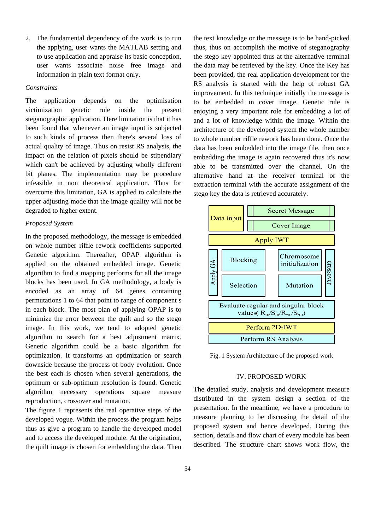2. The fundamental dependency of the work is to run the applying, user wants the MATLAB setting and to use application and appraise its basic conception, user wants associate noise free image and information in plain text format only.

## *Constraints*

The application depends on the optimisation victimization genetic rule inside the present steganographic application. Here limitation is that it has been found that whenever an image input is subjected to such kinds of process then there's several loss of actual quality of image. Thus on resist RS analysis, the impact on the relation of pixels should be stipendiary which can't be achieved by adjusting wholly different bit planes. The implementation may be procedure infeasible in non theoretical application. Thus for overcome this limitation, GA is applied to calculate the upper adjusting mode that the image quality will not be degraded to higher extent.

## *Proposed System*

In the proposed methodology, the message is embedded on whole number riffle rework coefficients supported Genetic algorithm. Thereafter, OPAP algorithm is applied on the obtained embedded image. Genetic algorithm to find a mapping performs for all the image blocks has been used. In GA methodology, a body is encoded as an array of 64 genes containing permutations 1 to 64 that point to range of component s in each block. The most plan of applying OPAP is to minimize the error between the quilt and so the stego image. In this work, we tend to adopted genetic algorithm to search for a best adjustment matrix. Genetic algorithm could be a basic algorithm for optimization. It transforms an optimization or search downside because the process of body evolution. Once the best each is chosen when several generations, the optimum or sub-optimum resolution is found. Genetic algorithm necessary operations square measure reproduction, crossover and mutation.

The figure 1 represents the real operative steps of the developed vogue. Within the process the program helps thus as give a program to handle the developed model and to access the developed module. At the origination, the quilt image is chosen for embedding the data. Then the text knowledge or the message is to be hand-picked thus, thus on accomplish the motive of steganography the stego key appointed thus at the alternative terminal the data may be retrieved by the key. Once the Key has been provided, the real application development for the RS analysis is started with the help of robust GA improvement. In this technique initially the message is to be embedded in cover image. Genetic rule is enjoying a very important role for embedding a lot of and a lot of knowledge within the image. Within the architecture of the developed system the whole number to whole number riffle rework has been done. Once the data has been embedded into the image file, then once embedding the image is again recovered thus it's now able to be transmitted over the channel. On the alternative hand at the receiver terminal or the extraction terminal with the accurate assignment of the stego key the data is retrieved accurately.



Fig. 1 System Architecture of the proposed work

#### IV. PROPOSED WORK

The detailed study, analysis and development measure distributed in the system design a section of the presentation. In the meantime, we have a procedure to measure planning to be discussing the detail of the proposed system and hence developed. During this section, details and flow chart of every module has been described. The structure chart shows work flow, the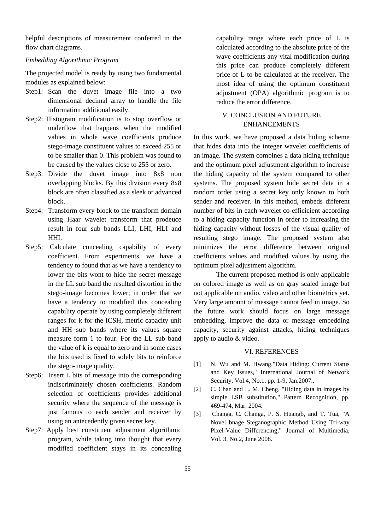helpful descriptions of measurement conferred in the flow chart diagrams.

#### *Embedding Algorithmic Program*

The projected model is ready by using two fundamental modules as explained below:

- Step1: Scan the duvet image file into a two dimensional decimal array to handle the file information additional easily.
- Step2: Histogram modification is to stop overflow or underflow that happens when the modified values in whole wave coefficients produce stego-image constituent values to exceed 255 or to be smaller than 0. This problem was found to be caused by the values close to 255 or zero.
- Step3: Divide the duvet image into 8x8 non overlapping blocks. By this division every 8x8 block are often classified as a sleek or advanced block.
- Step4: Transform every block to the transform domain using Haar wavelet transform that prodeuce result in four sub bands LLI, LHI, HLI and HHI.
- Step5: Calculate concealing capability of every coefficient. From experiments, we have a tendency to found that as we have a tendency to lower the bits wont to hide the secret message in the LL sub band the resulted distortion in the stego-image becomes lower; in order that we have a tendency to modified this concealing capability operate by using completely different ranges for k for the ICSH, metric capacity unit and HH sub bands where its values square measure form 1 to four. For the LL sub band the value of k is equal to zero and in some cases the bits used is fixed to solely bits to reinforce the stego-image quality.
- Step6: Insert L bits of message into the corresponding indiscriminately chosen coefficients. Random selection of coefficients provides additional security where the sequence of the message is just famous to each sender and receiver by using an antecedently given secret key.
- Step7: Apply best constituent adjustment algorithmic program, while taking into thought that every modified coefficient stays in its concealing

capability range where each price of L is calculated according to the absolute price of the wave coefficients any vital modification during this price can produce completely different price of L to be calculated at the receiver. The most idea of using the optimum constituent adjustment (OPA) algorithmic program is to reduce the error difference.

## V. CONCLUSION AND FUTURE ENHANCEMENTS

In this work, we have proposed a data hiding scheme that hides data into the integer wavelet coefficients of an image. The system combines a data hiding technique and the optimum pixel adjustment algorithm to increase the hiding capacity of the system compared to other systems. The proposed system hide secret data in a random order using a secret key only known to both sender and receiver. In this method, embeds different number of bits in each wavelet co-efficicient according to a hiding capacity function in order to increasing the hiding capacity without losses of the visual quality of resulting stego image. The proposed system also minimizes the error difference between original coefficients values and modified values by using the optimum pixel adjustment algorithm.

 The current proposed method is only applicable on colored image as well as on gray scaled image but not applicable on audio, video and other biometrics yet. Very large amount of message cannot feed in image. So the future work should focus on large message embedding, improve the data or message embedding capacity, security against attacks, hiding techniques apply to audio & video.

#### VI. REFERENCES

- [1] N. Wu and M. Hwang,"Data Hiding: Current Status and Key Issues," International Journal of Network Security, Vol.4, No.1, pp. 1-9, Jan.2007..
- [2] C. Chan and L. M. Cheng, "Hiding data in images by simple LSB substitution," Pattern Recognition, pp. 469-474, Mar. 2004.
- [3] Changa, C. Changa, P. S. Huangb, and T. Tua, "A Novel bnage Steganographic Method Using Tri-way Pixel-Value Differencing," Journal of Multimedia, Vol. 3, No.2, June 2008.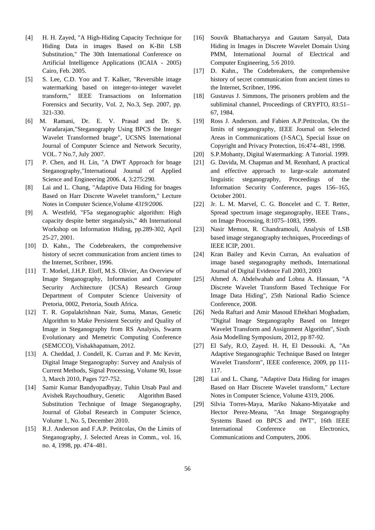- [4] H. H. Zayed, "A High-Hiding Capacity Technique for Hiding Data in images Based on K-Bit LSB Substitution," The 30th International Conference on Artificial Intelligence Applications (ICAIA - 2005) Cairo, Feb. 2005.
- [5] S. Lee, C.D. Yoo and T. Kalker, "Reversible image watermarking based on integer-to-integer wavelet transform," IEEE Transactions on Information Forensics and Security, Vol. 2, No.3, Sep. 2007, pp. 321-330.
- [6] M. Ramani, Dr. E. V. Prasad and Dr. S. Varadarajan,"Steganography Using BPCS the Integer Wavelet Transformed bnage", UCSNS International Journal of Computer Science and Network Security, VOL. 7 No.7, July 2007.
- [7] P. Chen, and H. Lin, "A DWT Approach for bnage Steganography,"International Journal of Applied Science and Engineering 2006. 4, 3:275:290.
- [8] Lai and L. Chang, "Adaptive Data Hiding for bnages Based on Harr Discrete Wavelet transform," Lecture Notes in Computer Science,Volume *4319/2006.*
- [9] A. Westfeld, "F5a steganographic algorithm: High capacity despite better steganalysis," 4th International Workshop on Information Hiding, pp.289-302, April 25-27, 2001.
- [10] D. Kahn., The Codebreakers, the comprehensive history of secret communication from ancient times to the Internet, Scribner, 1996.
- [11] T. Morkel, J.H.P. Eloff, M.S. Olivier, An Overview of Image Steganography, Information and Computer Security Architecture (ICSA) Research Group Department of Computer Science University of Pretoria, 0002, Pretoria, South Africa.
- [12] T. R. Gopalakrishnan Nair, Suma, Manas, Genetic Algorithm to Make Persistent Security and Quality of Image in Steganography from RS Analysis, Swarm Evolutionary and Memetric Computing Conference (SEMCCO), Vishakhapatnam, 2012.
- [13] A. Cheddad, J. Condell, K. Curran and P. Mc Kevitt, Digital Image Steganography: Survey and Analysis of Current Methods, Signal Processing, Volume 90, Issue 3, March 2010, Pages 727-752.
- [14] Samir Kumar Bandyopadhyay, Tuhin Utsab Paul and Avishek Raychoudhury, Genetic Algorithm Based Substitution Technique of Image Steganography, Journal of Global Research in Computer Science, Volume 1, No. 5, December 2010.
- [15] R.J. Anderson and F.A.P. Petitcolas, On the Limits of Steganography, J. Selected Areas in Comm., vol. 16, no. 4, 1998, pp. 474–481.
- [16] Souvik Bhattacharyya and Gautam Sanyal, Data Hiding in Images in Discrete Wavelet Domain Using PMM, International Journal of Electrical and Computer Engineering, 5:6 2010.
- [17] D. Kahn., The Codebreakers, the comprehensive history of secret communication from ancient times to the Internet, Scribner, 1996.
- [18] Gustavus J. Simmons, The prisoners problem and the subliminal channel, Proceedings of CRYPTO, 83:51– 67, 1984.
- [19] Ross J. Anderson. and Fabien A.P.Petitcolas, On the limits of steganography, IEEE Journal on Selected Areas in Communications (J-SAC), Special Issue on Copyright and Privacy Protection, 16:474–481, 1998.
- [20] S.P.Mohanty, Digital Watermarking: A Tutorial. 1999.
- [21] G. Davida, M. Chapman and M. Rennhard, A practical and effective approach to large-scale automated linguistic steganography, Proceedings of the Information Security Conference, pages 156–165, October 2001.
- [22] Jr. L. M. Marvel, C. G. Boncelet and C. T. Retter, Spread spectrum image steganography, IEEE Trans., on Image Processing, 8:1075–1083, 1999.
- [23] Nasir Memon, R. Chandramouli, Analysis of LSB based image steganography techniques, Proceedings of IEEE ICIP, 2001.
- [24] Kran Bailey and Kevin Curran, An evaluation of image based steganography methods, International Journal of Digital Evidence Fall 2003, 2003
- [25] Ahmed A. Abdelwahab and Lobna A. Hassaan, "A Discrete Wavelet Transform Based Technique For Image Data Hiding", 25th National Radio Science Conference, 2008.
- [26] Neda Raftari and Amir Masoud Eftekhari Moghadam, "Digital Image Steganography Based on Integer Wavelet Transform and Assignment Algorithm", Sixth Asia Modelling Symposium, 2012, pp 87-92.
- [27] El Safy, R.O, Zayed. H. H, El Dessouki. A, "An Adaptive Steganographic Technique Based on Integer Wavelet Transform", IEEE conference, 2009, pp 111- 117.
- [28] Lai and L. Chang, "Adaptive Data Hiding for images Based on Harr Discrete Wavelet transform," Lecture Notes in Computer Science, Volume 4319, 2006.
- [29] Silvia Torres-Maya, Mariko Nakano-Miyatake and Hector Perez-Meana, "An Image Steganography Systems Based on BPCS and IWT", 16th IEEE International Conference on Electronics, Communications and Computers, 2006.